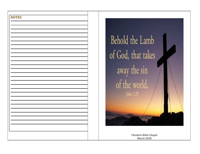



Cheshire Bible Chapel March 2020